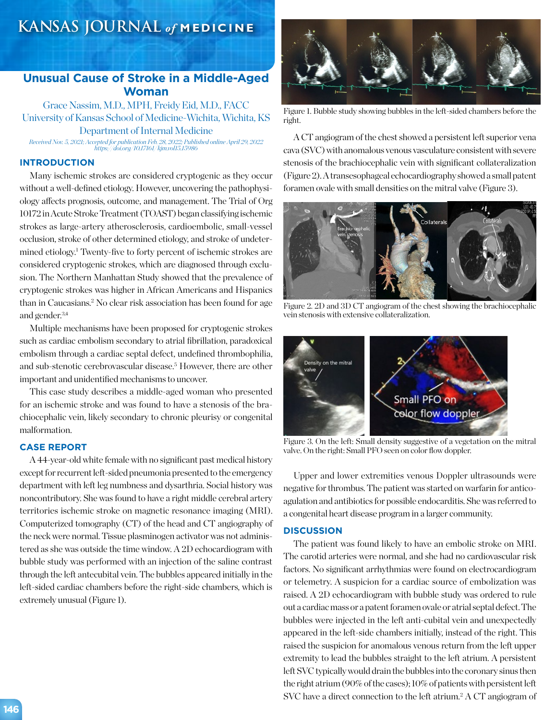# **KANSAS JOURNAL** *of* **MEDICINE**

# **Unusual Cause of Stroke in a Middle-Aged Woman**

Grace Nassim, M.D., MPH, Freidy Eid, M.D., FACC University of Kansas School of Medicine-Wichita, Wichita, KS Department of Internal Medicine *Received Nov. 5, 2021; Accepted for publication Feb. 28, 2022; Published online April 29, 2022*

*https://doi.org/10.17161/kjm.vol15.15986*

# **INTRODUCTION**

Many ischemic strokes are considered cryptogenic as they occur without a well-defined etiology. However, uncovering the pathophysiology affects prognosis, outcome, and management. The Trial of Org 10172 in Acute Stroke Treatment (TOAST) began classifying ischemic strokes as large-artery atherosclerosis, cardioembolic, small-vessel occlusion, stroke of other determined etiology, and stroke of undetermined etiology.<sup>1</sup> Twenty-five to forty percent of ischemic strokes are considered cryptogenic strokes, which are diagnosed through exclusion. The Northern Manhattan Study showed that the prevalence of cryptogenic strokes was higher in African Americans and Hispanics than in Caucasians.2 No clear risk association has been found for age and gender.3,4

Multiple mechanisms have been proposed for cryptogenic strokes such as cardiac embolism secondary to atrial fibrillation, paradoxical embolism through a cardiac septal defect, undefined thrombophilia, and sub-stenotic cerebrovascular disease.<sup>5</sup> However, there are other important and unidentified mechanisms to uncover.

This case study describes a middle-aged woman who presented for an ischemic stroke and was found to have a stenosis of the brachiocephalic vein, likely secondary to chronic pleurisy or congenital malformation.

## **CASE REPORT**

A 44-year-old white female with no significant past medical history except for recurrent left-sided pneumonia presented to the emergency department with left leg numbness and dysarthria. Social history was noncontributory. She was found to have a right middle cerebral artery territories ischemic stroke on magnetic resonance imaging (MRI). Computerized tomography (CT) of the head and CT angiography of the neck were normal. Tissue plasminogen activator was not administered as she was outside the time window. A 2D echocardiogram with bubble study was performed with an injection of the saline contrast through the left antecubital vein. The bubbles appeared initially in the left-sided cardiac chambers before the right-side chambers, which is extremely unusual (Figure 1).



Figure 1. Bubble study showing bubbles in the left-sided chambers before the right.

A CT angiogram of the chest showed a persistent left superior vena cava (SVC) with anomalous venous vasculature consistent with severe stenosis of the brachiocephalic vein with significant collateralization (Figure 2). A transesophageal echocardiography showed a small patent foramen ovale with small densities on the mitral valve (Figure 3).



Figure 2. 2D and 3D CT angiogram of the chest showing the brachiocephalic vein stenosis with extensive collateralization.



Figure 3. On the left: Small density suggestive of a vegetation on the mitral valve. On the right: Small PFO seen on color flow doppler.

Upper and lower extremities venous Doppler ultrasounds were negative for thrombus. The patient was started on warfarin for anticoagulation and antibiotics for possible endocarditis. She was referred to a congenital heart disease program in a larger community.

### **DISCUSSION**

The patient was found likely to have an embolic stroke on MRI. The carotid arteries were normal, and she had no cardiovascular risk factors. No significant arrhythmias were found on electrocardiogram or telemetry. A suspicion for a cardiac source of embolization was raised. A 2D echocardiogram with bubble study was ordered to rule out a cardiac mass or a patent foramen ovale or atrial septal defect. The bubbles were injected in the left anti-cubital vein and unexpectedly appeared in the left-side chambers initially, instead of the right. This raised the suspicion for anomalous venous return from the left upper extremity to lead the bubbles straight to the left atrium. A persistent left SVC typically would drain the bubbles into the coronary sinus then the right atrium (90% of the cases); 10% of patients with persistent left SVC have a direct connection to the left atrium.<sup>2</sup> A CT angiogram of